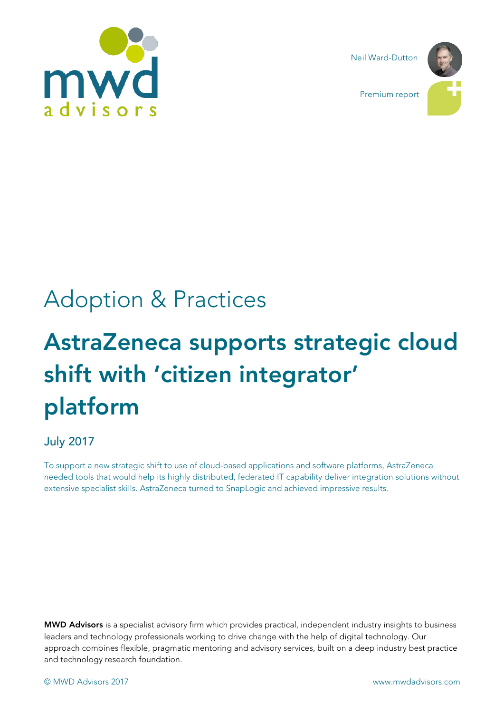

Neil Ward-Dutton

Premium report



# Adoption & Practices

# AstraZeneca supports strategic cloud shift with 'citizen integrator' platform

## July 2017

To support a new strategic shift to use of cloud-based applications and software platforms, AstraZeneca needed tools that would help its highly distributed, federated IT capability deliver integration solutions without extensive specialist skills. AstraZeneca turned to SnapLogic and achieved impressive results.

MWD Advisors is a specialist advisory firm which provides practical, independent industry insights to business leaders and technology professionals working to drive change with the help of digital technology. Our approach combines flexible, pragmatic mentoring and advisory services, built on a deep industry best practice and technology research foundation.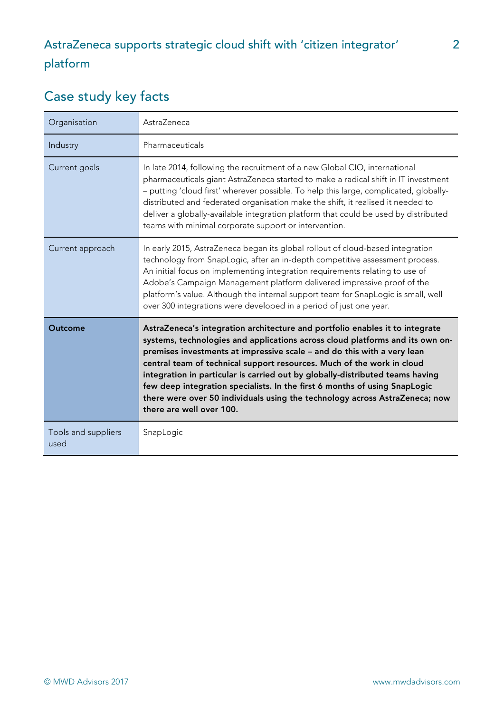# Case study key facts

| Organisation                | AstraZeneca                                                                                                                                                                                                                                                                                                                                                                                                                                                                                                                                                                                  |
|-----------------------------|----------------------------------------------------------------------------------------------------------------------------------------------------------------------------------------------------------------------------------------------------------------------------------------------------------------------------------------------------------------------------------------------------------------------------------------------------------------------------------------------------------------------------------------------------------------------------------------------|
| Industry                    | Pharmaceuticals                                                                                                                                                                                                                                                                                                                                                                                                                                                                                                                                                                              |
| Current goals               | In late 2014, following the recruitment of a new Global CIO, international<br>pharmaceuticals giant AstraZeneca started to make a radical shift in IT investment<br>- putting 'cloud first' wherever possible. To help this large, complicated, globally-<br>distributed and federated organisation make the shift, it realised it needed to<br>deliver a globally-available integration platform that could be used by distributed<br>teams with minimal corporate support or intervention.                                                                                                 |
| Current approach            | In early 2015, AstraZeneca began its global rollout of cloud-based integration<br>technology from SnapLogic, after an in-depth competitive assessment process.<br>An initial focus on implementing integration requirements relating to use of<br>Adobe's Campaign Management platform delivered impressive proof of the<br>platform's value. Although the internal support team for SnapLogic is small, well<br>over 300 integrations were developed in a period of just one year.                                                                                                          |
| Outcome                     | AstraZeneca's integration architecture and portfolio enables it to integrate<br>systems, technologies and applications across cloud platforms and its own on-<br>premises investments at impressive scale - and do this with a very lean<br>central team of technical support resources. Much of the work in cloud<br>integration in particular is carried out by globally-distributed teams having<br>few deep integration specialists. In the first 6 months of using SnapLogic<br>there were over 50 individuals using the technology across AstraZeneca; now<br>there are well over 100. |
| Tools and suppliers<br>used | SnapLogic                                                                                                                                                                                                                                                                                                                                                                                                                                                                                                                                                                                    |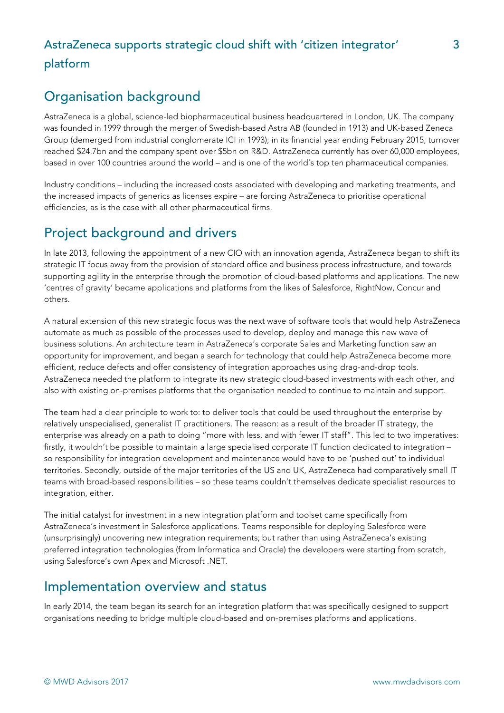## Organisation background

AstraZeneca is a global, science-led biopharmaceutical business headquartered in London, UK. The company was founded in 1999 through the merger of Swedish-based Astra AB (founded in 1913) and UK-based Zeneca Group (demerged from industrial conglomerate ICI in 1993); in its financial year ending February 2015, turnover reached \$24.7bn and the company spent over \$5bn on R&D. AstraZeneca currently has over 60,000 employees, based in over 100 countries around the world – and is one of the world's top ten pharmaceutical companies.

Industry conditions – including the increased costs associated with developing and marketing treatments, and the increased impacts of generics as licenses expire – are forcing AstraZeneca to prioritise operational efficiencies, as is the case with all other pharmaceutical firms.

## Project background and drivers

In late 2013, following the appointment of a new CIO with an innovation agenda, AstraZeneca began to shift its strategic IT focus away from the provision of standard office and business process infrastructure, and towards supporting agility in the enterprise through the promotion of cloud-based platforms and applications. The new 'centres of gravity' became applications and platforms from the likes of Salesforce, RightNow, Concur and others.

A natural extension of this new strategic focus was the next wave of software tools that would help AstraZeneca automate as much as possible of the processes used to develop, deploy and manage this new wave of business solutions. An architecture team in AstraZeneca's corporate Sales and Marketing function saw an opportunity for improvement, and began a search for technology that could help AstraZeneca become more efficient, reduce defects and offer consistency of integration approaches using drag-and-drop tools. AstraZeneca needed the platform to integrate its new strategic cloud-based investments with each other, and also with existing on-premises platforms that the organisation needed to continue to maintain and support.

The team had a clear principle to work to: to deliver tools that could be used throughout the enterprise by relatively unspecialised, generalist IT practitioners. The reason: as a result of the broader IT strategy, the enterprise was already on a path to doing "more with less, and with fewer IT staff". This led to two imperatives: firstly, it wouldn't be possible to maintain a large specialised corporate IT function dedicated to integration – so responsibility for integration development and maintenance would have to be 'pushed out' to individual territories. Secondly, outside of the major territories of the US and UK, AstraZeneca had comparatively small IT teams with broad-based responsibilities – so these teams couldn't themselves dedicate specialist resources to integration, either.

The initial catalyst for investment in a new integration platform and toolset came specifically from AstraZeneca's investment in Salesforce applications. Teams responsible for deploying Salesforce were (unsurprisingly) uncovering new integration requirements; but rather than using AstraZeneca's existing preferred integration technologies (from Informatica and Oracle) the developers were starting from scratch, using Salesforce's own Apex and Microsoft .NET.

## Implementation overview and status

In early 2014, the team began its search for an integration platform that was specifically designed to support organisations needing to bridge multiple cloud-based and on-premises platforms and applications.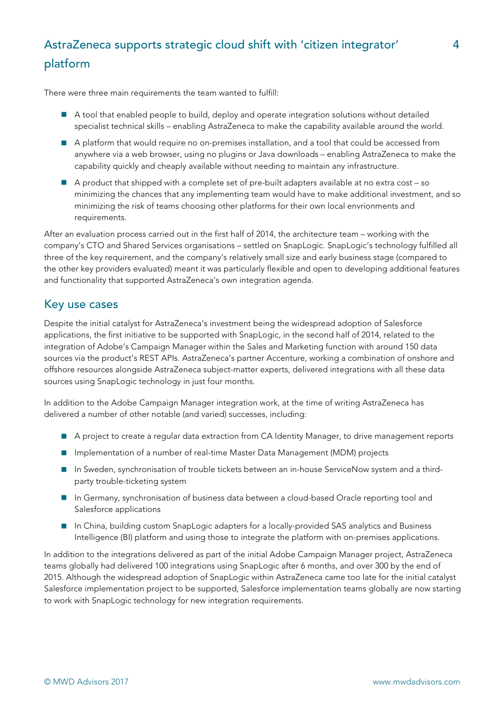There were three main requirements the team wanted to fulfill:

- A tool that enabled people to build, deploy and operate integration solutions without detailed specialist technical skills – enabling AstraZeneca to make the capability available around the world.
- A platform that would require no on-premises installation, and a tool that could be accessed from anywhere via a web browser, using no plugins or Java downloads – enabling AstraZeneca to make the capability quickly and cheaply available without needing to maintain any infrastructure.
- $\blacksquare$  A product that shipped with a complete set of pre-built adapters available at no extra cost so minimizing the chances that any implementing team would have to make additional investment, and so minimizing the risk of teams choosing other platforms for their own local envrionments and requirements.

After an evaluation process carried out in the first half of 2014, the architecture team – working with the company's CTO and Shared Services organisations – settled on SnapLogic. SnapLogic's technology fulfilled all three of the key requirement, and the company's relatively small size and early business stage (compared to the other key providers evaluated) meant it was particularly flexible and open to developing additional features and functionality that supported AstraZeneca's own integration agenda.

#### Key use cases

Despite the initial catalyst for AstraZeneca's investment being the widespread adoption of Salesforce applications, the first initiative to be supported with SnapLogic, in the second half of 2014, related to the integration of Adobe's Campaign Manager within the Sales and Marketing function with around 150 data sources via the product's REST APIs. AstraZeneca's partner Accenture, working a combination of onshore and offshore resources alongside AstraZeneca subject-matter experts, delivered integrations with all these data sources using SnapLogic technology in just four months.

In addition to the Adobe Campaign Manager integration work, at the time of writing AstraZeneca has delivered a number of other notable (and varied) successes, including:

- A project to create a regular data extraction from CA Identity Manager, to drive management reports
- Implementation of a number of real-time Master Data Management (MDM) projects
- In Sweden, synchronisation of trouble tickets between an in-house ServiceNow system and a thirdparty trouble-ticketing system
- In Germany, synchronisation of business data between a cloud-based Oracle reporting tool and Salesforce applications
- n In China, building custom SnapLogic adapters for a locally-provided SAS analytics and Business Intelligence (BI) platform and using those to integrate the platform with on-premises applications.

In addition to the integrations delivered as part of the initial Adobe Campaign Manager project, AstraZeneca teams globally had delivered 100 integrations using SnapLogic after 6 months, and over 300 by the end of 2015. Although the widespread adoption of SnapLogic within AstraZeneca came too late for the initial catalyst Salesforce implementation project to be supported, Salesforce implementation teams globally are now starting to work with SnapLogic technology for new integration requirements.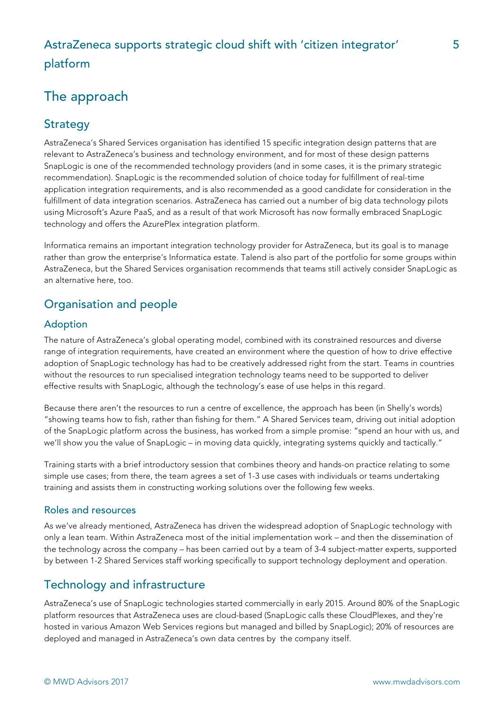# The approach

#### **Strategy**

AstraZeneca's Shared Services organisation has identified 15 specific integration design patterns that are relevant to AstraZeneca's business and technology environment, and for most of these design patterns SnapLogic is one of the recommended technology providers (and in some cases, it is the primary strategic recommendation). SnapLogic is the recommended solution of choice today for fulfillment of real-time application integration requirements, and is also recommended as a good candidate for consideration in the fulfillment of data integration scenarios. AstraZeneca has carried out a number of big data technology pilots using Microsoft's Azure PaaS, and as a result of that work Microsoft has now formally embraced SnapLogic technology and offers the AzurePlex integration platform.

Informatica remains an important integration technology provider for AstraZeneca, but its goal is to manage rather than grow the enterprise's Informatica estate. Talend is also part of the portfolio for some groups within AstraZeneca, but the Shared Services organisation recommends that teams still actively consider SnapLogic as an alternative here, too.

#### Organisation and people

#### Adoption

The nature of AstraZeneca's global operating model, combined with its constrained resources and diverse range of integration requirements, have created an environment where the question of how to drive effective adoption of SnapLogic technology has had to be creatively addressed right from the start. Teams in countries without the resources to run specialised integration technology teams need to be supported to deliver effective results with SnapLogic, although the technology's ease of use helps in this regard.

Because there aren't the resources to run a centre of excellence, the approach has been (in Shelly's words) "showing teams how to fish, rather than fishing for them." A Shared Services team, driving out initial adoption of the SnapLogic platform across the business, has worked from a simple promise: "spend an hour with us, and we'll show you the value of SnapLogic – in moving data quickly, integrating systems quickly and tactically."

Training starts with a brief introductory session that combines theory and hands-on practice relating to some simple use cases; from there, the team agrees a set of 1-3 use cases with individuals or teams undertaking training and assists them in constructing working solutions over the following few weeks.

#### Roles and resources

As we've already mentioned, AstraZeneca has driven the widespread adoption of SnapLogic technology with only a lean team. Within AstraZeneca most of the initial implementation work – and then the dissemination of the technology across the company – has been carried out by a team of 3-4 subject-matter experts, supported by between 1-2 Shared Services staff working specifically to support technology deployment and operation.

#### Technology and infrastructure

AstraZeneca's use of SnapLogic technologies started commercially in early 2015. Around 80% of the SnapLogic platform resources that AstraZeneca uses are cloud-based (SnapLogic calls these CloudPlexes, and they're hosted in various Amazon Web Services regions but managed and billed by SnapLogic); 20% of resources are deployed and managed in AstraZeneca's own data centres by the company itself.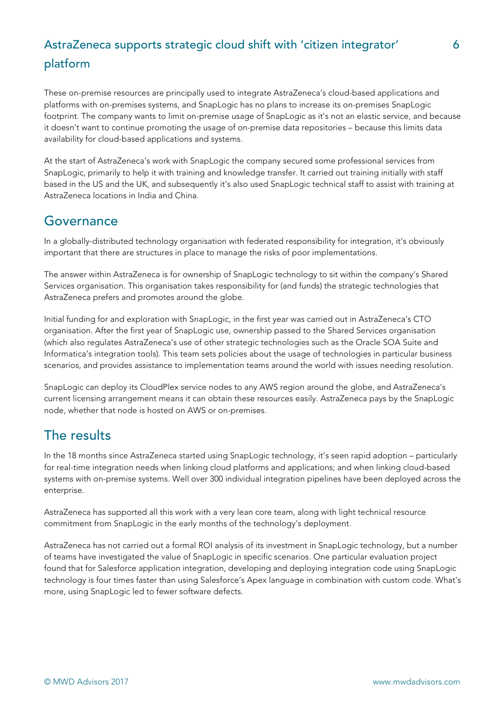These on-premise resources are principally used to integrate AstraZeneca's cloud-based applications and platforms with on-premises systems, and SnapLogic has no plans to increase its on-premises SnapLogic footprint. The company wants to limit on-premise usage of SnapLogic as it's not an elastic service, and because it doesn't want to continue promoting the usage of on-premise data repositories – because this limits data availability for cloud-based applications and systems.

At the start of AstraZeneca's work with SnapLogic the company secured some professional services from SnapLogic, primarily to help it with training and knowledge transfer. It carried out training initially with staff based in the US and the UK, and subsequently it's also used SnapLogic technical staff to assist with training at AstraZeneca locations in India and China.

### Governance

In a globally-distributed technology organisation with federated responsibility for integration, it's obviously important that there are structures in place to manage the risks of poor implementations.

The answer within AstraZeneca is for ownership of SnapLogic technology to sit within the company's Shared Services organisation. This organisation takes responsibility for (and funds) the strategic technologies that AstraZeneca prefers and promotes around the globe.

Initial funding for and exploration with SnapLogic, in the first year was carried out in AstraZeneca's CTO organisation. After the first year of SnapLogic use, ownership passed to the Shared Services organisation (which also regulates AstraZeneca's use of other strategic technologies such as the Oracle SOA Suite and Informatica's integration tools). This team sets policies about the usage of technologies in particular business scenarios, and provides assistance to implementation teams around the world with issues needing resolution.

SnapLogic can deploy its CloudPlex service nodes to any AWS region around the globe, and AstraZeneca's current licensing arrangement means it can obtain these resources easily. AstraZeneca pays by the SnapLogic node, whether that node is hosted on AWS or on-premises.

## The results

In the 18 months since AstraZeneca started using SnapLogic technology, it's seen rapid adoption – particularly for real-time integration needs when linking cloud platforms and applications; and when linking cloud-based systems with on-premise systems. Well over 300 individual integration pipelines have been deployed across the enterprise.

AstraZeneca has supported all this work with a very lean core team, along with light technical resource commitment from SnapLogic in the early months of the technology's deployment.

AstraZeneca has not carried out a formal ROI analysis of its investment in SnapLogic technology, but a number of teams have investigated the value of SnapLogic in specific scenarios. One particular evaluation project found that for Salesforce application integration, developing and deploying integration code using SnapLogic technology is four times faster than using Salesforce's Apex language in combination with custom code. What's more, using SnapLogic led to fewer software defects.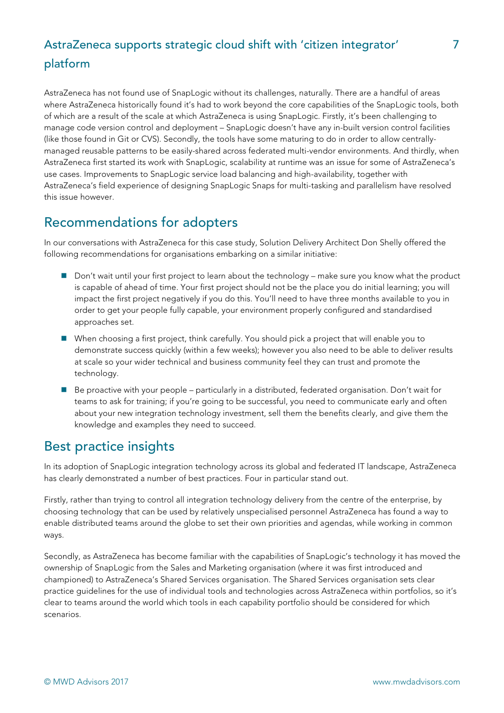AstraZeneca has not found use of SnapLogic without its challenges, naturally. There are a handful of areas where AstraZeneca historically found it's had to work beyond the core capabilities of the SnapLogic tools, both of which are a result of the scale at which AstraZeneca is using SnapLogic. Firstly, it's been challenging to manage code version control and deployment – SnapLogic doesn't have any in-built version control facilities (like those found in Git or CVS). Secondly, the tools have some maturing to do in order to allow centrallymanaged reusable patterns to be easily-shared across federated multi-vendor environments. And thirdly, when AstraZeneca first started its work with SnapLogic, scalability at runtime was an issue for some of AstraZeneca's use cases. Improvements to SnapLogic service load balancing and high-availability, together with AstraZeneca's field experience of designing SnapLogic Snaps for multi-tasking and parallelism have resolved this issue however.

## Recommendations for adopters

In our conversations with AstraZeneca for this case study, Solution Delivery Architect Don Shelly offered the following recommendations for organisations embarking on a similar initiative:

- Don't wait until your first project to learn about the technology make sure you know what the product is capable of ahead of time. Your first project should not be the place you do initial learning; you will impact the first project negatively if you do this. You'll need to have three months available to you in order to get your people fully capable, your environment properly configured and standardised approaches set.
- When choosing a first project, think carefully. You should pick a project that will enable you to demonstrate success quickly (within a few weeks); however you also need to be able to deliver results at scale so your wider technical and business community feel they can trust and promote the technology.
- Be proactive with your people particularly in a distributed, federated organisation. Don't wait for teams to ask for training; if you're going to be successful, you need to communicate early and often about your new integration technology investment, sell them the benefits clearly, and give them the knowledge and examples they need to succeed.

## Best practice insights

In its adoption of SnapLogic integration technology across its global and federated IT landscape, AstraZeneca has clearly demonstrated a number of best practices. Four in particular stand out.

Firstly, rather than trying to control all integration technology delivery from the centre of the enterprise, by choosing technology that can be used by relatively unspecialised personnel AstraZeneca has found a way to enable distributed teams around the globe to set their own priorities and agendas, while working in common ways.

Secondly, as AstraZeneca has become familiar with the capabilities of SnapLogic's technology it has moved the ownership of SnapLogic from the Sales and Marketing organisation (where it was first introduced and championed) to AstraZeneca's Shared Services organisation. The Shared Services organisation sets clear practice guidelines for the use of individual tools and technologies across AstraZeneca within portfolios, so it's clear to teams around the world which tools in each capability portfolio should be considered for which scenarios.